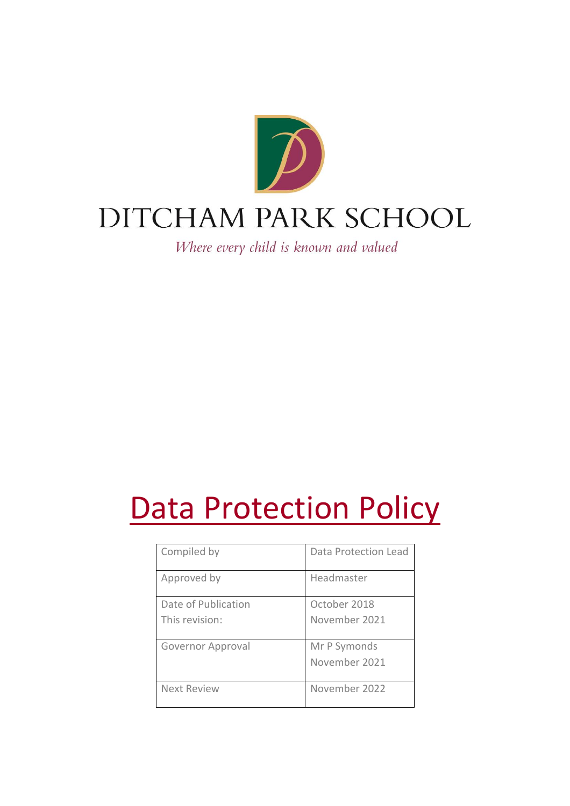

Where every child is known and valued

# **Data Protection Policy**

| Compiled by         | Data Protection Lead |
|---------------------|----------------------|
| Approved by         | Headmaster           |
| Date of Publication | October 2018         |
| This revision:      | November 2021        |
| Governor Approval   | Mr P Symonds         |
|                     | November 2021        |
| Next Review         | November 2022        |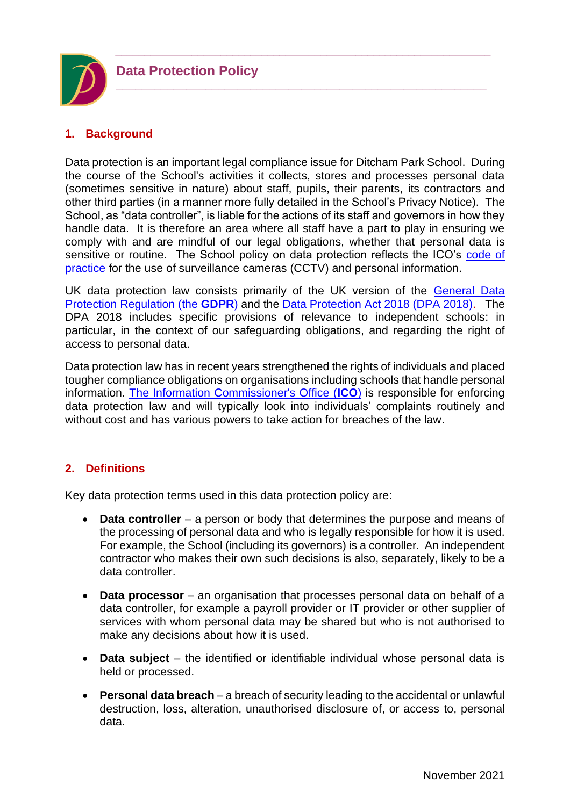

# **1. Background**

Data protection is an important legal compliance issue for Ditcham Park School. During the course of the School's activities it collects, stores and processes personal data (sometimes sensitive in nature) about staff, pupils, their parents, its contractors and other third parties (in a manner more fully detailed in the School's Privacy Notice). The School, as "data controller", is liable for the actions of its staff and governors in how they handle data. It is therefore an area where all staff have a part to play in ensuring we comply with and are mindful of our legal obligations, whether that personal data is sensitive or routine. The School policy on data protection reflects the ICO's code of [practice](https://ico.org.uk/media/for-organisations/documents/1542/cctv-code-of-practice.pdf) for the use of surveillance cameras (CCTV) and personal information.

*\_\_\_\_\_\_\_\_\_\_\_\_\_\_\_\_\_\_\_\_\_\_\_\_\_\_\_\_\_\_\_\_\_\_\_\_\_\_\_\_\_\_\_\_\_\_\_\_\_\_\_\_\_\_\_\_\_\_\_\_\_\_\_\_*

**\_\_\_\_\_\_\_\_\_\_\_\_\_\_\_\_\_\_\_\_\_\_\_\_\_\_\_\_\_\_\_\_\_\_\_\_\_\_\_\_\_\_\_\_\_\_\_\_\_\_\_\_\_\_\_\_\_\_**

UK data protection law consists primarily of the UK version of the General Data [Protection Regulation \(the](https://www.legislation.gov.uk/uksi/2020/1586/made) **GDPR**) and the [Data Protection Act 2018 \(DPA 2018\).](https://www.legislation.gov.uk/ukpga/2018/12/contents/enacted) The DPA 2018 includes specific provisions of relevance to independent schools: in particular, in the context of our safeguarding obligations, and regarding the right of access to personal data.

Data protection law has in recent years strengthened the rights of individuals and placed tougher compliance obligations on organisations including schools that handle personal information. [The Information Commissioner's Office \(](https://ico.org.uk/for-organisations/guide-to-data-protection/guide-to-the-general-data-protection-regulation-gdpr/)**ICO**) is responsible for enforcing data protection law and will typically look into individuals' complaints routinely and without cost and has various powers to take action for breaches of the law.

# **2. Definitions**

Key data protection terms used in this data protection policy are:

- **Data controller** a person or body that determines the purpose and means of the processing of personal data and who is legally responsible for how it is used. For example, the School (including its governors) is a controller. An independent contractor who makes their own such decisions is also, separately, likely to be a data controller.
- **Data processor** an organisation that processes personal data on behalf of a data controller, for example a payroll provider or IT provider or other supplier of services with whom personal data may be shared but who is not authorised to make any decisions about how it is used.
- **Data subject** the identified or identifiable individual whose personal data is held or processed.
- **Personal data breach**  a breach of security leading to the accidental or unlawful destruction, loss, alteration, unauthorised disclosure of, or access to, personal data.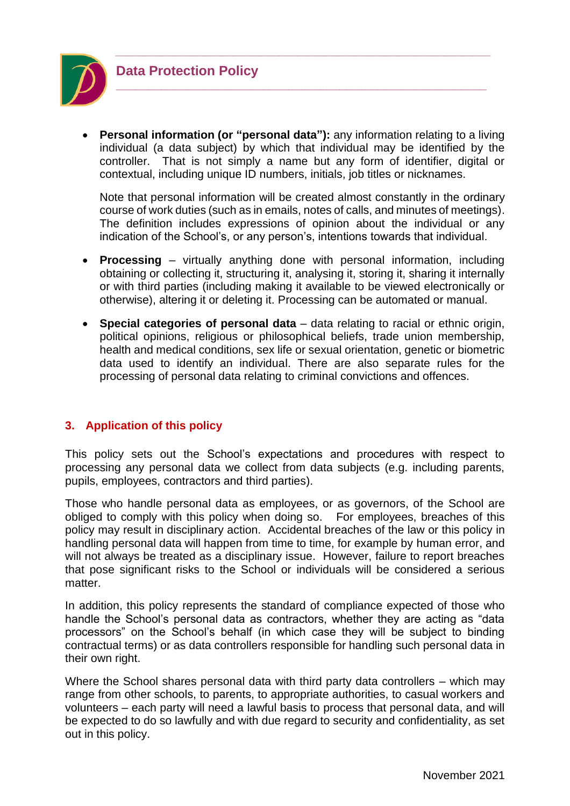

**Data Protection Policy**

• **Personal information (or "personal data"):** any information relating to a living individual (a data subject) by which that individual may be identified by the controller. That is not simply a name but any form of identifier, digital or contextual, including unique ID numbers, initials, job titles or nicknames.

*\_\_\_\_\_\_\_\_\_\_\_\_\_\_\_\_\_\_\_\_\_\_\_\_\_\_\_\_\_\_\_\_\_\_\_\_\_\_\_\_\_\_\_\_\_\_\_\_\_\_\_\_\_\_\_\_\_\_\_\_\_\_\_\_*

**\_\_\_\_\_\_\_\_\_\_\_\_\_\_\_\_\_\_\_\_\_\_\_\_\_\_\_\_\_\_\_\_\_\_\_\_\_\_\_\_\_\_\_\_\_\_\_\_\_\_\_\_\_\_\_\_\_\_**

Note that personal information will be created almost constantly in the ordinary course of work duties (such as in emails, notes of calls, and minutes of meetings). The definition includes expressions of opinion about the individual or any indication of the School's, or any person's, intentions towards that individual.

- **Processing**  virtually anything done with personal information, including obtaining or collecting it, structuring it, analysing it, storing it, sharing it internally or with third parties (including making it available to be viewed electronically or otherwise), altering it or deleting it. Processing can be automated or manual.
- **Special categories of personal data**  data relating to racial or ethnic origin, political opinions, religious or philosophical beliefs, trade union membership, health and medical conditions, sex life or sexual orientation, genetic or biometric data used to identify an individual. There are also separate rules for the processing of personal data relating to criminal convictions and offences.

# **3. Application of this policy**

This policy sets out the School's expectations and procedures with respect to processing any personal data we collect from data subjects (e.g. including parents, pupils, employees, contractors and third parties).

Those who handle personal data as employees, or as governors, of the School are obliged to comply with this policy when doing so. For employees, breaches of this policy may result in disciplinary action. Accidental breaches of the law or this policy in handling personal data will happen from time to time, for example by human error, and will not always be treated as a disciplinary issue. However, failure to report breaches that pose significant risks to the School or individuals will be considered a serious matter.

In addition, this policy represents the standard of compliance expected of those who handle the School's personal data as contractors, whether they are acting as "data processors" on the School's behalf (in which case they will be subject to binding contractual terms) or as data controllers responsible for handling such personal data in their own right.

Where the School shares personal data with third party data controllers – which may range from other schools, to parents, to appropriate authorities, to casual workers and volunteers – each party will need a lawful basis to process that personal data, and will be expected to do so lawfully and with due regard to security and confidentiality, as set out in this policy.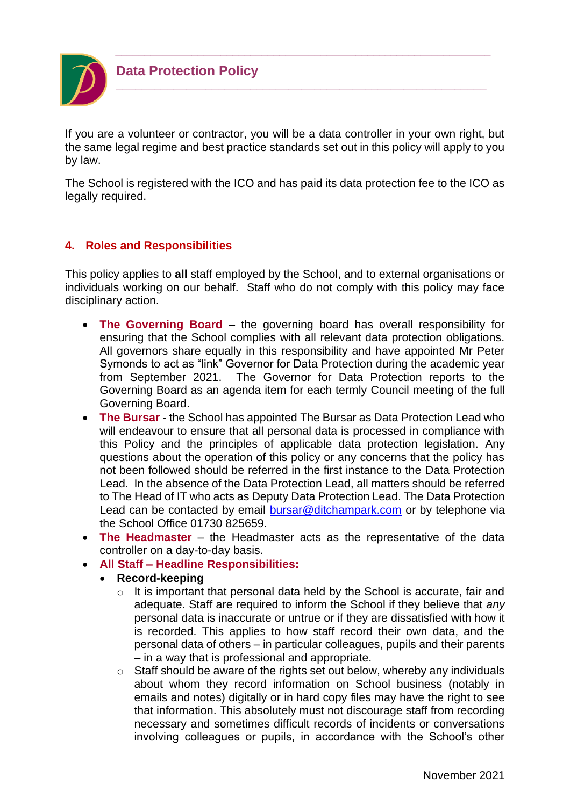

If you are a volunteer or contractor, you will be a data controller in your own right, but the same legal regime and best practice standards set out in this policy will apply to you by law.

*\_\_\_\_\_\_\_\_\_\_\_\_\_\_\_\_\_\_\_\_\_\_\_\_\_\_\_\_\_\_\_\_\_\_\_\_\_\_\_\_\_\_\_\_\_\_\_\_\_\_\_\_\_\_\_\_\_\_\_\_\_\_\_\_*

**\_\_\_\_\_\_\_\_\_\_\_\_\_\_\_\_\_\_\_\_\_\_\_\_\_\_\_\_\_\_\_\_\_\_\_\_\_\_\_\_\_\_\_\_\_\_\_\_\_\_\_\_\_\_\_\_\_\_**

The School is registered with the ICO and has paid its data protection fee to the ICO as legally required.

# **4. Roles and Responsibilities**

This policy applies to **all** staff employed by the School, and to external organisations or individuals working on our behalf. Staff who do not comply with this policy may face disciplinary action.

- **The Governing Board** the governing board has overall responsibility for ensuring that the School complies with all relevant data protection obligations. All governors share equally in this responsibility and have appointed Mr Peter Symonds to act as "link" Governor for Data Protection during the academic year from September 2021. The Governor for Data Protection reports to the Governing Board as an agenda item for each termly Council meeting of the full Governing Board.
- **The Bursar** the School has appointed The Bursar as Data Protection Lead who will endeavour to ensure that all personal data is processed in compliance with this Policy and the principles of applicable data protection legislation. Any questions about the operation of this policy or any concerns that the policy has not been followed should be referred in the first instance to the Data Protection Lead. In the absence of the Data Protection Lead, all matters should be referred to The Head of IT who acts as Deputy Data Protection Lead. The Data Protection Lead can be contacted by email **bursar@ditchampark.com** or by telephone via the School Office 01730 825659.
- **The Headmaster**  the Headmaster acts as the representative of the data controller on a day-to-day basis.
- **All Staff – Headline Responsibilities:**
	- **Record-keeping**
		- o It is important that personal data held by the School is accurate, fair and adequate. Staff are required to inform the School if they believe that *any* personal data is inaccurate or untrue or if they are dissatisfied with how it is recorded. This applies to how staff record their own data, and the personal data of others – in particular colleagues, pupils and their parents – in a way that is professional and appropriate.
		- o Staff should be aware of the rights set out below, whereby any individuals about whom they record information on School business (notably in emails and notes) digitally or in hard copy files may have the right to see that information. This absolutely must not discourage staff from recording necessary and sometimes difficult records of incidents or conversations involving colleagues or pupils, in accordance with the School's other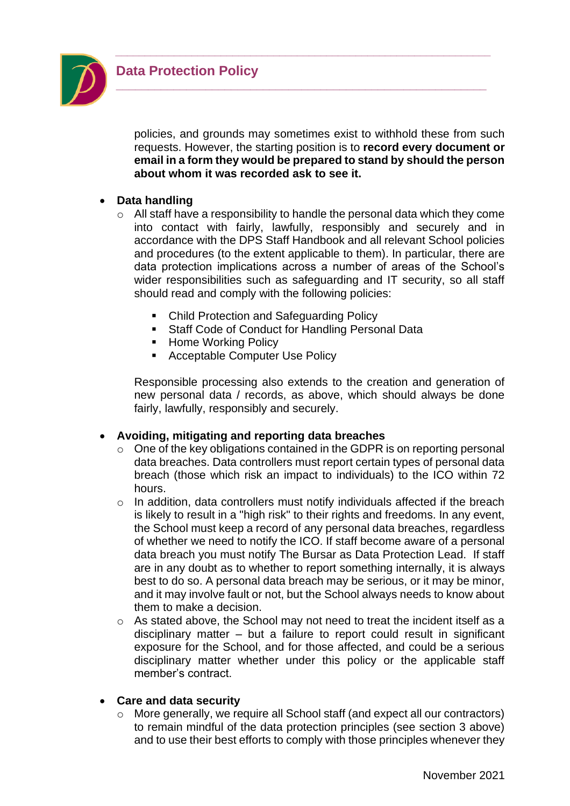

policies, and grounds may sometimes exist to withhold these from such requests. However, the starting position is to **record every document or email in a form they would be prepared to stand by should the person about whom it was recorded ask to see it.**

*\_\_\_\_\_\_\_\_\_\_\_\_\_\_\_\_\_\_\_\_\_\_\_\_\_\_\_\_\_\_\_\_\_\_\_\_\_\_\_\_\_\_\_\_\_\_\_\_\_\_\_\_\_\_\_\_\_\_\_\_\_\_\_\_*

**\_\_\_\_\_\_\_\_\_\_\_\_\_\_\_\_\_\_\_\_\_\_\_\_\_\_\_\_\_\_\_\_\_\_\_\_\_\_\_\_\_\_\_\_\_\_\_\_\_\_\_\_\_\_\_\_\_\_**

# • **Data handling**

- o All staff have a responsibility to handle the personal data which they come into contact with fairly, lawfully, responsibly and securely and in accordance with the DPS Staff Handbook and all relevant School policies and procedures (to the extent applicable to them). In particular, there are data protection implications across a number of areas of the School's wider responsibilities such as safeguarding and IT security, so all staff should read and comply with the following policies:
	- Child Protection and Safeguarding Policy
	- Staff Code of Conduct for Handling Personal Data
	- Home Working Policy
	- Acceptable Computer Use Policy

Responsible processing also extends to the creation and generation of new personal data / records, as above, which should always be done fairly, lawfully, responsibly and securely.

#### • **Avoiding, mitigating and reporting data breaches**

- o One of the key obligations contained in the GDPR is on reporting personal data breaches. Data controllers must report certain types of personal data breach (those which risk an impact to individuals) to the ICO within 72 hours.
- $\circ$  In addition, data controllers must notify individuals affected if the breach is likely to result in a "high risk" to their rights and freedoms. In any event, the School must keep a record of any personal data breaches, regardless of whether we need to notify the ICO. If staff become aware of a personal data breach you must notify The Bursar as Data Protection Lead. If staff are in any doubt as to whether to report something internally, it is always best to do so. A personal data breach may be serious, or it may be minor, and it may involve fault or not, but the School always needs to know about them to make a decision.
- o As stated above, the School may not need to treat the incident itself as a disciplinary matter – but a failure to report could result in significant exposure for the School, and for those affected, and could be a serious disciplinary matter whether under this policy or the applicable staff member's contract.
- **Care and data security**
	- o More generally, we require all School staff (and expect all our contractors) to remain mindful of the data protection principles (see section 3 above) and to use their best efforts to comply with those principles whenever they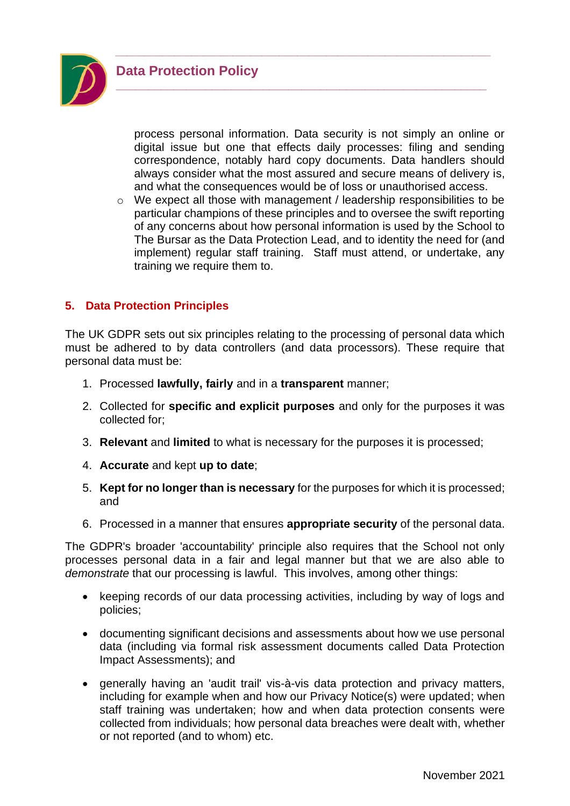



process personal information. Data security is not simply an online or digital issue but one that effects daily processes: filing and sending correspondence, notably hard copy documents. Data handlers should always consider what the most assured and secure means of delivery is, and what the consequences would be of loss or unauthorised access.

*\_\_\_\_\_\_\_\_\_\_\_\_\_\_\_\_\_\_\_\_\_\_\_\_\_\_\_\_\_\_\_\_\_\_\_\_\_\_\_\_\_\_\_\_\_\_\_\_\_\_\_\_\_\_\_\_\_\_\_\_\_\_\_\_*

**\_\_\_\_\_\_\_\_\_\_\_\_\_\_\_\_\_\_\_\_\_\_\_\_\_\_\_\_\_\_\_\_\_\_\_\_\_\_\_\_\_\_\_\_\_\_\_\_\_\_\_\_\_\_\_\_\_\_**

o We expect all those with management / leadership responsibilities to be particular champions of these principles and to oversee the swift reporting of any concerns about how personal information is used by the School to The Bursar as the Data Protection Lead, and to identity the need for (and implement) regular staff training. Staff must attend, or undertake, any training we require them to.

# **5. Data Protection Principles**

The UK GDPR sets out six principles relating to the processing of personal data which must be adhered to by data controllers (and data processors). These require that personal data must be:

- 1. Processed **lawfully, fairly** and in a **transparent** manner;
- 2. Collected for **specific and explicit purposes** and only for the purposes it was collected for;
- 3. **Relevant** and **limited** to what is necessary for the purposes it is processed;
- 4. **Accurate** and kept **up to date**;
- 5. **Kept for no longer than is necessary** for the purposes for which it is processed; and
- 6. Processed in a manner that ensures **appropriate security** of the personal data.

The GDPR's broader 'accountability' principle also requires that the School not only processes personal data in a fair and legal manner but that we are also able to *demonstrate* that our processing is lawful. This involves, among other things:

- keeping records of our data processing activities, including by way of logs and policies;
- documenting significant decisions and assessments about how we use personal data (including via formal risk assessment documents called Data Protection Impact Assessments); and
- generally having an 'audit trail' vis-à-vis data protection and privacy matters, including for example when and how our Privacy Notice(s) were updated; when staff training was undertaken; how and when data protection consents were collected from individuals; how personal data breaches were dealt with, whether or not reported (and to whom) etc.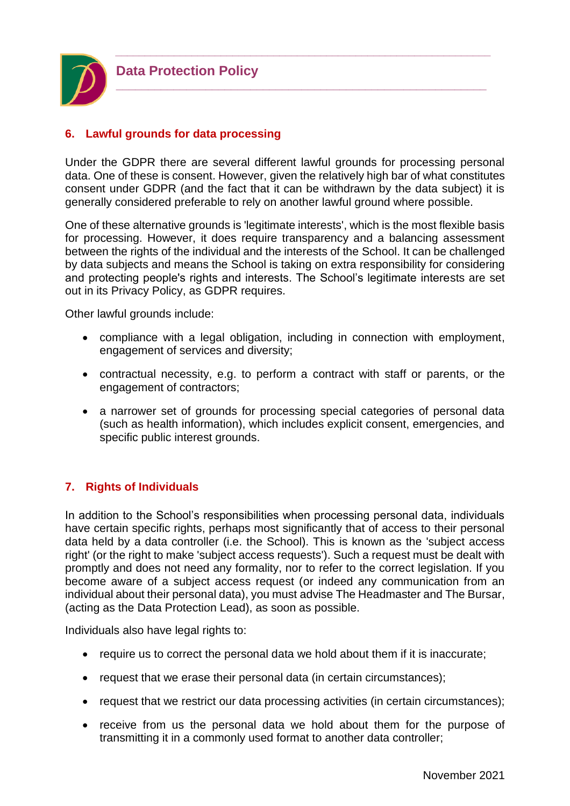

# **6. Lawful grounds for data processing**

Under the GDPR there are several different lawful grounds for processing personal data. One of these is consent. However, given the relatively high bar of what constitutes consent under GDPR (and the fact that it can be withdrawn by the data subject) it is generally considered preferable to rely on another lawful ground where possible.

*\_\_\_\_\_\_\_\_\_\_\_\_\_\_\_\_\_\_\_\_\_\_\_\_\_\_\_\_\_\_\_\_\_\_\_\_\_\_\_\_\_\_\_\_\_\_\_\_\_\_\_\_\_\_\_\_\_\_\_\_\_\_\_\_*

**\_\_\_\_\_\_\_\_\_\_\_\_\_\_\_\_\_\_\_\_\_\_\_\_\_\_\_\_\_\_\_\_\_\_\_\_\_\_\_\_\_\_\_\_\_\_\_\_\_\_\_\_\_\_\_\_\_\_**

One of these alternative grounds is 'legitimate interests', which is the most flexible basis for processing. However, it does require transparency and a balancing assessment between the rights of the individual and the interests of the School. It can be challenged by data subjects and means the School is taking on extra responsibility for considering and protecting people's rights and interests. The School's legitimate interests are set out in its Privacy Policy, as GDPR requires.

Other lawful grounds include:

- compliance with a legal obligation, including in connection with employment, engagement of services and diversity;
- contractual necessity, e.g. to perform a contract with staff or parents, or the engagement of contractors;
- a narrower set of grounds for processing special categories of personal data (such as health information), which includes explicit consent, emergencies, and specific public interest grounds.

# **7. Rights of Individuals**

In addition to the School's responsibilities when processing personal data, individuals have certain specific rights, perhaps most significantly that of access to their personal data held by a data controller (i.e. the School). This is known as the 'subject access right' (or the right to make 'subject access requests'). Such a request must be dealt with promptly and does not need any formality, nor to refer to the correct legislation. If you become aware of a subject access request (or indeed any communication from an individual about their personal data), you must advise The Headmaster and The Bursar, (acting as the Data Protection Lead), as soon as possible.

Individuals also have legal rights to:

- require us to correct the personal data we hold about them if it is inaccurate;
- request that we erase their personal data (in certain circumstances);
- request that we restrict our data processing activities (in certain circumstances);
- receive from us the personal data we hold about them for the purpose of transmitting it in a commonly used format to another data controller;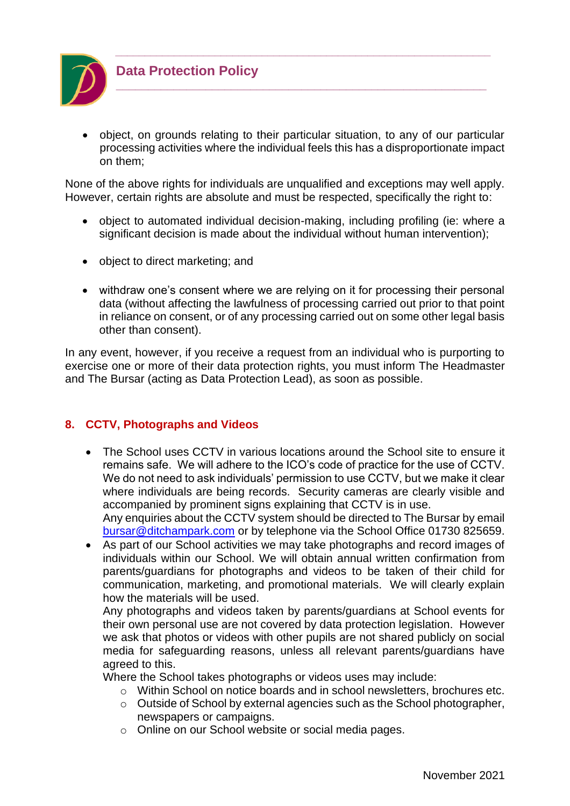

• object, on grounds relating to their particular situation, to any of our particular processing activities where the individual feels this has a disproportionate impact on them;

*\_\_\_\_\_\_\_\_\_\_\_\_\_\_\_\_\_\_\_\_\_\_\_\_\_\_\_\_\_\_\_\_\_\_\_\_\_\_\_\_\_\_\_\_\_\_\_\_\_\_\_\_\_\_\_\_\_\_\_\_\_\_\_\_*

**\_\_\_\_\_\_\_\_\_\_\_\_\_\_\_\_\_\_\_\_\_\_\_\_\_\_\_\_\_\_\_\_\_\_\_\_\_\_\_\_\_\_\_\_\_\_\_\_\_\_\_\_\_\_\_\_\_\_**

None of the above rights for individuals are unqualified and exceptions may well apply. However, certain rights are absolute and must be respected, specifically the right to:

- object to automated individual decision-making, including profiling (ie: where a significant decision is made about the individual without human intervention);
- object to direct marketing; and
- withdraw one's consent where we are relying on it for processing their personal data (without affecting the lawfulness of processing carried out prior to that point in reliance on consent, or of any processing carried out on some other legal basis other than consent).

In any event, however, if you receive a request from an individual who is purporting to exercise one or more of their data protection rights, you must inform The Headmaster and The Bursar (acting as Data Protection Lead), as soon as possible.

# **8. CCTV, Photographs and Videos**

- The School uses CCTV in various locations around the School site to ensure it remains safe. We will adhere to the ICO's code of practice for the use of CCTV. We do not need to ask individuals' permission to use CCTV, but we make it clear where individuals are being records. Security cameras are clearly visible and accompanied by prominent signs explaining that CCTV is in use. Any enquiries about the CCTV system should be directed to The Bursar by email [bursar@ditchampark.com](mailto:bursar@ditchampark.com) or by telephone via the School Office 01730 825659.
- As part of our School activities we may take photographs and record images of individuals within our School. We will obtain annual written confirmation from parents/guardians for photographs and videos to be taken of their child for communication, marketing, and promotional materials. We will clearly explain how the materials will be used.

Any photographs and videos taken by parents/guardians at School events for their own personal use are not covered by data protection legislation. However we ask that photos or videos with other pupils are not shared publicly on social media for safeguarding reasons, unless all relevant parents/guardians have agreed to this.

Where the School takes photographs or videos uses may include:

- o Within School on notice boards and in school newsletters, brochures etc.
- o Outside of School by external agencies such as the School photographer, newspapers or campaigns.
- o Online on our School website or social media pages.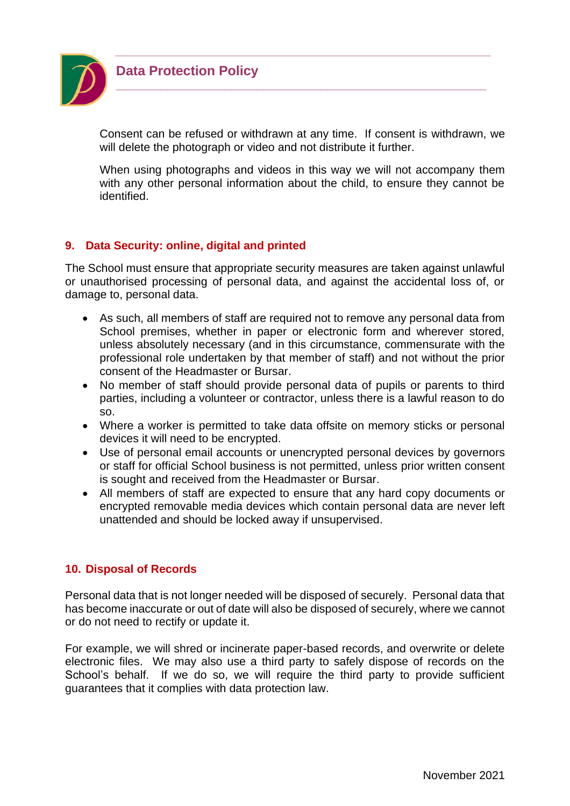

Consent can be refused or withdrawn at any time. If consent is withdrawn, we will delete the photograph or video and not distribute it further.

*\_\_\_\_\_\_\_\_\_\_\_\_\_\_\_\_\_\_\_\_\_\_\_\_\_\_\_\_\_\_\_\_\_\_\_\_\_\_\_\_\_\_\_\_\_\_\_\_\_\_\_\_\_\_\_\_\_\_\_\_\_\_\_\_*

**\_\_\_\_\_\_\_\_\_\_\_\_\_\_\_\_\_\_\_\_\_\_\_\_\_\_\_\_\_\_\_\_\_\_\_\_\_\_\_\_\_\_\_\_\_\_\_\_\_\_\_\_\_\_\_\_\_\_**

When using photographs and videos in this way we will not accompany them with any other personal information about the child, to ensure they cannot be identified.

# **9. Data Security: online, digital and printed**

The School must ensure that appropriate security measures are taken against unlawful or unauthorised processing of personal data, and against the accidental loss of, or damage to, personal data.

- As such, all members of staff are required not to remove any personal data from School premises, whether in paper or electronic form and wherever stored, unless absolutely necessary (and in this circumstance, commensurate with the professional role undertaken by that member of staff) and not without the prior consent of the Headmaster or Bursar.
- No member of staff should provide personal data of pupils or parents to third parties, including a volunteer or contractor, unless there is a lawful reason to do so.
- Where a worker is permitted to take data offsite on memory sticks or personal devices it will need to be encrypted.
- Use of personal email accounts or unencrypted personal devices by governors or staff for official School business is not permitted, unless prior written consent is sought and received from the Headmaster or Bursar.
- All members of staff are expected to ensure that any hard copy documents or encrypted removable media devices which contain personal data are never left unattended and should be locked away if unsupervised.

# **10. Disposal of Records**

Personal data that is not longer needed will be disposed of securely. Personal data that has become inaccurate or out of date will also be disposed of securely, where we cannot or do not need to rectify or update it.

For example, we will shred or incinerate paper-based records, and overwrite or delete electronic files. We may also use a third party to safely dispose of records on the School's behalf. If we do so, we will require the third party to provide sufficient guarantees that it complies with data protection law.